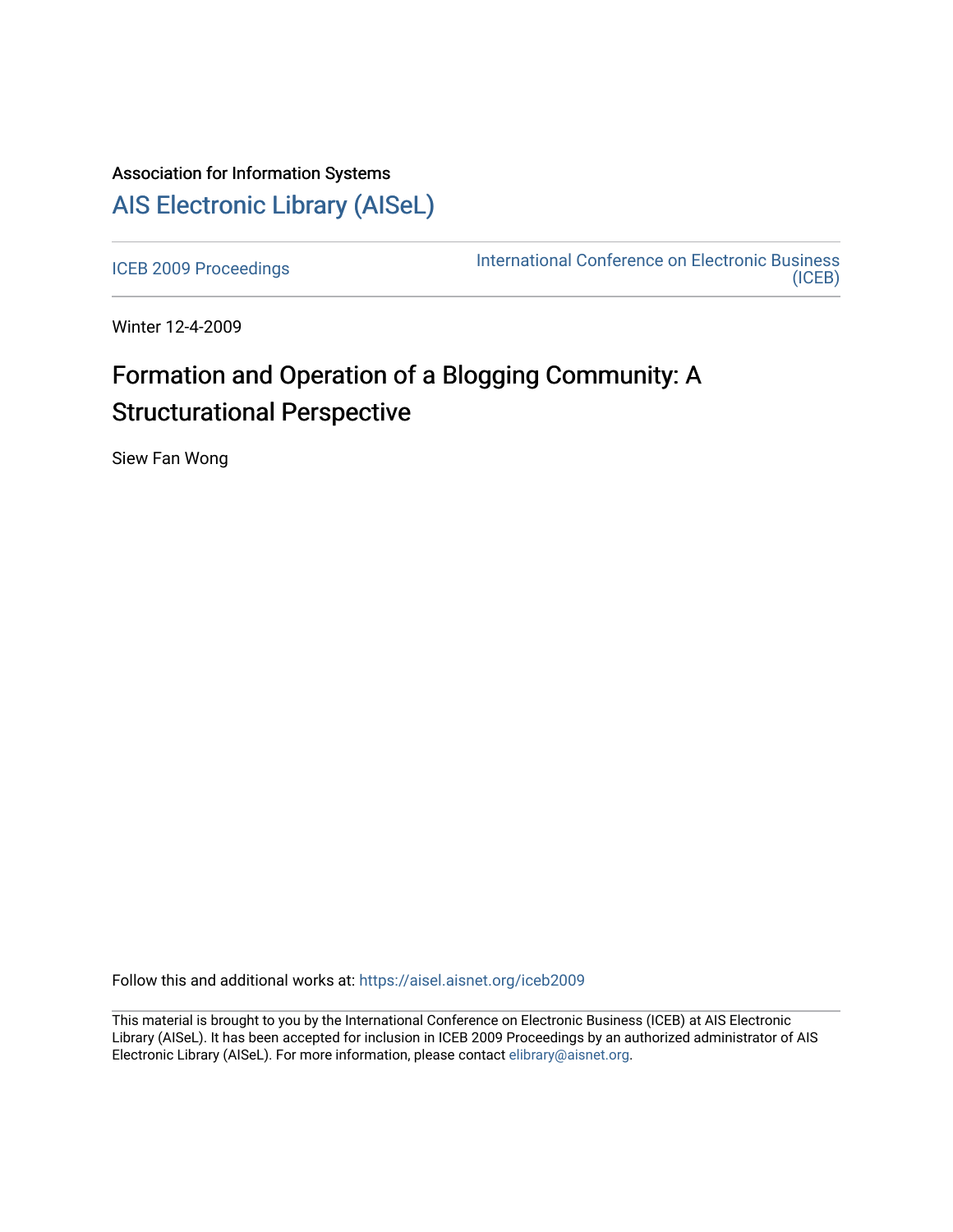# Association for Information Systems [AIS Electronic Library \(AISeL\)](https://aisel.aisnet.org/)

[ICEB 2009 Proceedings](https://aisel.aisnet.org/iceb2009) **International Conference on Electronic Business** [\(ICEB\)](https://aisel.aisnet.org/iceb) 

Winter 12-4-2009

# Formation and Operation of a Blogging Community: A Structurational Perspective

Siew Fan Wong

Follow this and additional works at: [https://aisel.aisnet.org/iceb2009](https://aisel.aisnet.org/iceb2009?utm_source=aisel.aisnet.org%2Ficeb2009%2F144&utm_medium=PDF&utm_campaign=PDFCoverPages)

This material is brought to you by the International Conference on Electronic Business (ICEB) at AIS Electronic Library (AISeL). It has been accepted for inclusion in ICEB 2009 Proceedings by an authorized administrator of AIS Electronic Library (AISeL). For more information, please contact [elibrary@aisnet.org.](mailto:elibrary@aisnet.org%3E)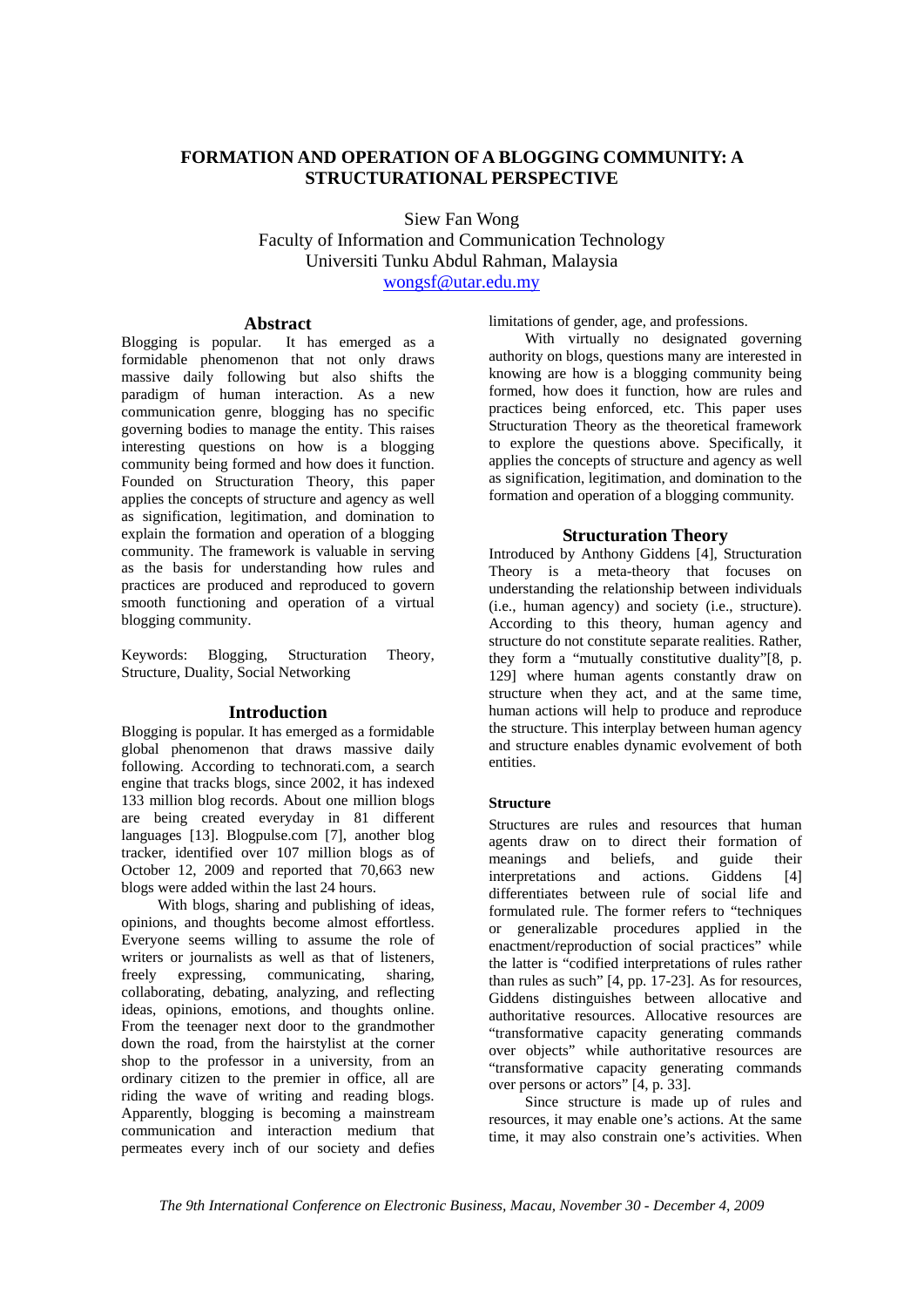## **FORMATION AND OPERATION OF A BLOGGING COMMUNITY: A STRUCTURATIONAL PERSPECTIVE**

Siew Fan Wong

Faculty of Information and Communication Technology Universiti Tunku Abdul Rahman, Malaysia wongsf@utar.edu.my

#### **Abstract**

Blogging is popular. It has emerged as a formidable phenomenon that not only draws massive daily following but also shifts the paradigm of human interaction. As a new communication genre, blogging has no specific governing bodies to manage the entity. This raises interesting questions on how is a blogging community being formed and how does it function. Founded on Structuration Theory, this paper applies the concepts of structure and agency as well as signification, legitimation, and domination to explain the formation and operation of a blogging community. The framework is valuable in serving as the basis for understanding how rules and practices are produced and reproduced to govern smooth functioning and operation of a virtual blogging community.

Keywords: Blogging, Structuration Theory, Structure, Duality, Social Networking

#### **Introduction**

Blogging is popular. It has emerged as a formidable global phenomenon that draws massive daily following. According to technorati.com, a search engine that tracks blogs, since 2002, it has indexed 133 million blog records. About one million blogs are being created everyday in 81 different languages [13]. Blogpulse.com [7], another blog tracker, identified over 107 million blogs as of October 12, 2009 and reported that 70,663 new blogs were added within the last 24 hours.

With blogs, sharing and publishing of ideas, opinions, and thoughts become almost effortless. Everyone seems willing to assume the role of writers or journalists as well as that of listeners, freely expressing, communicating, sharing, collaborating, debating, analyzing, and reflecting ideas, opinions, emotions, and thoughts online. From the teenager next door to the grandmother down the road, from the hairstylist at the corner shop to the professor in a university, from an ordinary citizen to the premier in office, all are riding the wave of writing and reading blogs. Apparently, blogging is becoming a mainstream communication and interaction medium that permeates every inch of our society and defies limitations of gender, age, and professions.

With virtually no designated governing authority on blogs, questions many are interested in knowing are how is a blogging community being formed, how does it function, how are rules and practices being enforced, etc. This paper uses Structuration Theory as the theoretical framework to explore the questions above. Specifically, it applies the concepts of structure and agency as well as signification, legitimation, and domination to the formation and operation of a blogging community.

### **Structuration Theory**

Introduced by Anthony Giddens [4], Structuration Theory is a meta-theory that focuses on understanding the relationship between individuals (i.e., human agency) and society (i.e., structure). According to this theory, human agency and structure do not constitute separate realities. Rather, they form a "mutually constitutive duality"[8, p. 129] where human agents constantly draw on structure when they act, and at the same time, human actions will help to produce and reproduce the structure. This interplay between human agency and structure enables dynamic evolvement of both entities.

#### **Structure**

Structures are rules and resources that human agents draw on to direct their formation of meanings and beliefs, and guide their interpretations and actions. Giddens [4] differentiates between rule of social life and formulated rule. The former refers to "techniques or generalizable procedures applied in the enactment/reproduction of social practices" while the latter is "codified interpretations of rules rather than rules as such" [4, pp. 17-23]. As for resources, Giddens distinguishes between allocative and authoritative resources. Allocative resources are "transformative capacity generating commands over objects" while authoritative resources are "transformative capacity generating commands over persons or actors" [4, p. 33].

Since structure is made up of rules and resources, it may enable one's actions. At the same time, it may also constrain one's activities. When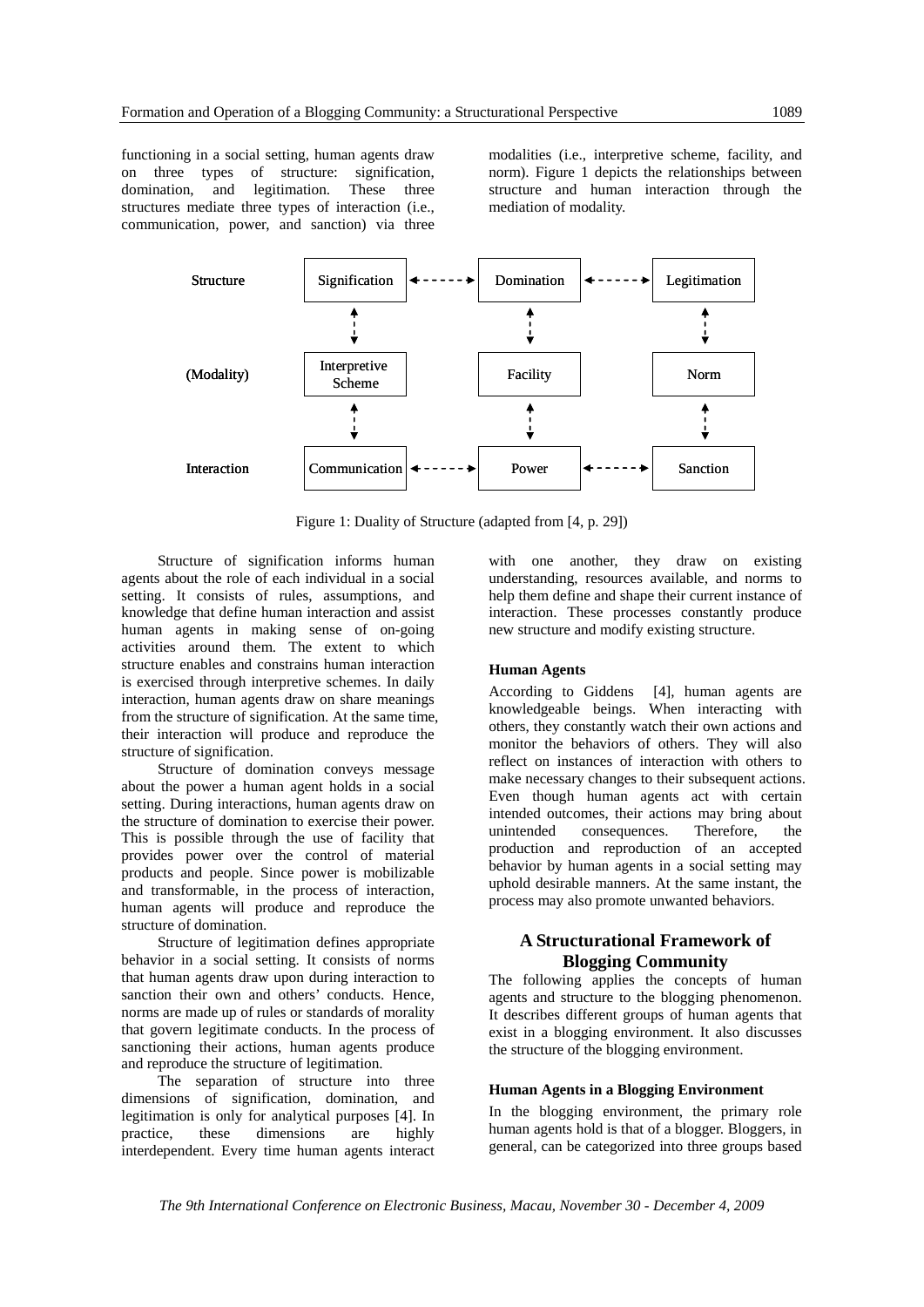functioning in a social setting, human agents draw on three types of structure: signification, domination, and legitimation. These three structures mediate three types of interaction (i.e., communication, power, and sanction) via three

modalities (i.e., interpretive scheme, facility, and norm). Figure 1 depicts the relationships between structure and human interaction through the mediation of modality.



Figure 1: Duality of Structure (adapted from [4, p. 29])

Structure of signification informs human agents about the role of each individual in a social setting. It consists of rules, assumptions, and knowledge that define human interaction and assist human agents in making sense of on-going activities around them. The extent to which structure enables and constrains human interaction is exercised through interpretive schemes. In daily interaction, human agents draw on share meanings from the structure of signification. At the same time, their interaction will produce and reproduce the structure of signification.

Structure of domination conveys message about the power a human agent holds in a social setting. During interactions, human agents draw on the structure of domination to exercise their power. This is possible through the use of facility that provides power over the control of material products and people. Since power is mobilizable and transformable, in the process of interaction, human agents will produce and reproduce the structure of domination.

Structure of legitimation defines appropriate behavior in a social setting. It consists of norms that human agents draw upon during interaction to sanction their own and others' conducts. Hence, norms are made up of rules or standards of morality that govern legitimate conducts. In the process of sanctioning their actions, human agents produce and reproduce the structure of legitimation.

The separation of structure into three dimensions of signification, domination, and legitimation is only for analytical purposes [4]. In practice, these dimensions are highly interdependent. Every time human agents interact

with one another, they draw on existing understanding, resources available, and norms to help them define and shape their current instance of interaction. These processes constantly produce new structure and modify existing structure.

#### **Human Agents**

According to Giddens [4], human agents are knowledgeable beings. When interacting with others, they constantly watch their own actions and monitor the behaviors of others. They will also reflect on instances of interaction with others to make necessary changes to their subsequent actions. Even though human agents act with certain intended outcomes, their actions may bring about unintended consequences. Therefore, the production and reproduction of an accepted behavior by human agents in a social setting may uphold desirable manners. At the same instant, the process may also promote unwanted behaviors.

#### **A Structurational Framework of Blogging Community**

The following applies the concepts of human agents and structure to the blogging phenomenon. It describes different groups of human agents that exist in a blogging environment. It also discusses the structure of the blogging environment.

#### **Human Agents in a Blogging Environment**

In the blogging environment, the primary role human agents hold is that of a blogger. Bloggers, in general, can be categorized into three groups based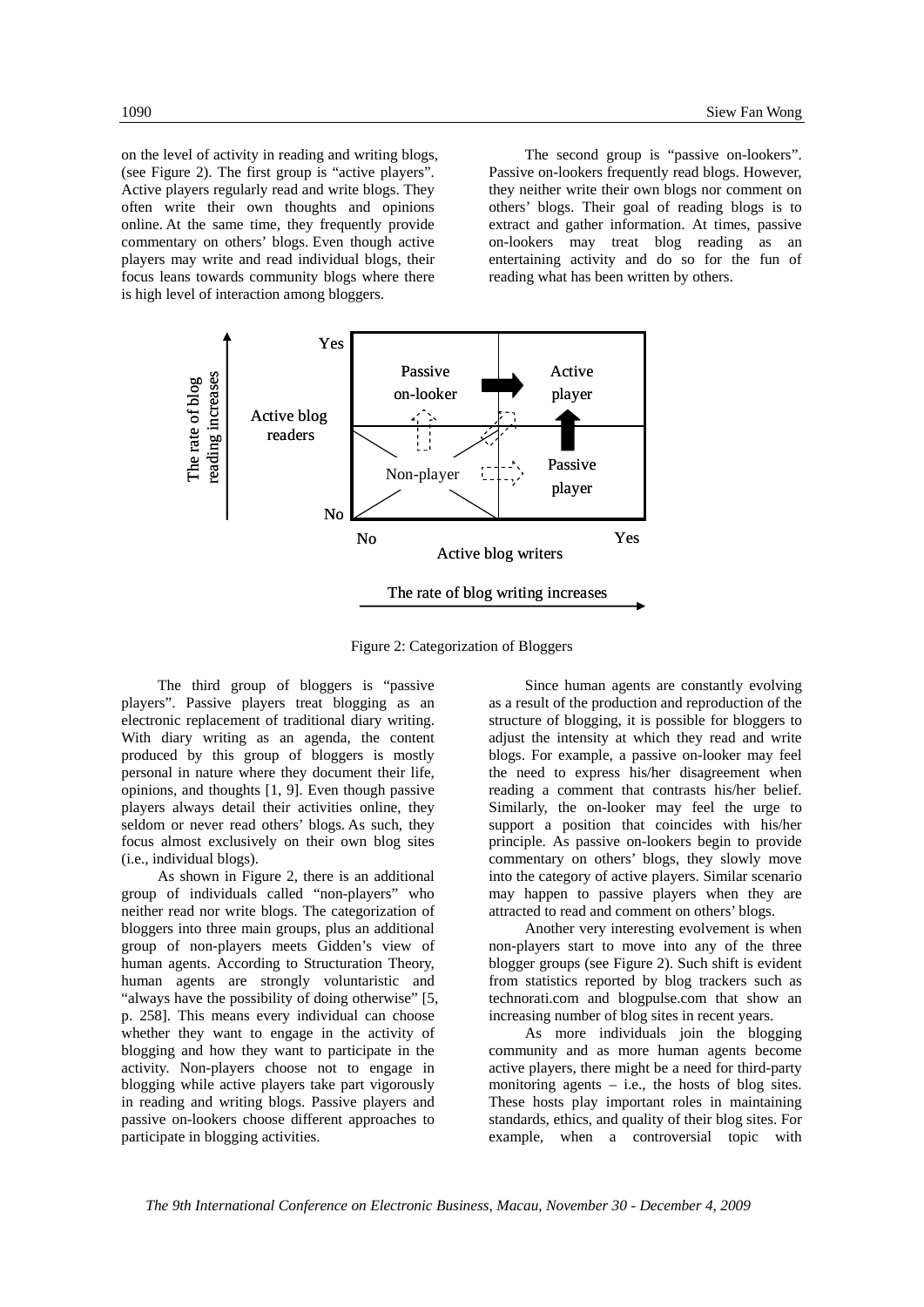on the level of activity in reading and writing blogs, (see Figure 2). The first group is "active players". Active players regularly read and write blogs. They often write their own thoughts and opinions online. At the same time, they frequently provide commentary on others' blogs. Even though active players may write and read individual blogs, their focus leans towards community blogs where there is high level of interaction among bloggers.

The second group is "passive on-lookers". Passive on-lookers frequently read blogs. However, they neither write their own blogs nor comment on others' blogs. Their goal of reading blogs is to extract and gather information. At times, passive on-lookers may treat blog reading as an entertaining activity and do so for the fun of reading what has been written by others.



Figure 2: Categorization of Bloggers

The third group of bloggers is "passive players". Passive players treat blogging as an electronic replacement of traditional diary writing. With diary writing as an agenda, the content produced by this group of bloggers is mostly personal in nature where they document their life, opinions, and thoughts [1, 9]. Even though passive players always detail their activities online, they seldom or never read others' blogs. As such, they focus almost exclusively on their own blog sites (i.e., individual blogs).

As shown in Figure 2, there is an additional group of individuals called "non-players" who neither read nor write blogs. The categorization of bloggers into three main groups, plus an additional group of non-players meets Gidden's view of human agents. According to Structuration Theory, human agents are strongly voluntaristic and "always have the possibility of doing otherwise" [5, p. 258]. This means every individual can choose whether they want to engage in the activity of blogging and how they want to participate in the activity. Non-players choose not to engage in blogging while active players take part vigorously in reading and writing blogs. Passive players and passive on-lookers choose different approaches to participate in blogging activities.

Since human agents are constantly evolving as a result of the production and reproduction of the structure of blogging, it is possible for bloggers to adjust the intensity at which they read and write blogs. For example, a passive on-looker may feel the need to express his/her disagreement when reading a comment that contrasts his/her belief. Similarly, the on-looker may feel the urge to support a position that coincides with his/her principle. As passive on-lookers begin to provide commentary on others' blogs, they slowly move into the category of active players. Similar scenario may happen to passive players when they are attracted to read and comment on others' blogs.

Another very interesting evolvement is when non-players start to move into any of the three blogger groups (see Figure 2). Such shift is evident from statistics reported by blog trackers such as technorati.com and blogpulse.com that show an increasing number of blog sites in recent years.

As more individuals join the blogging community and as more human agents become active players, there might be a need for third-party monitoring agents – i.e., the hosts of blog sites. These hosts play important roles in maintaining standards, ethics, and quality of their blog sites. For example, when a controversial topic with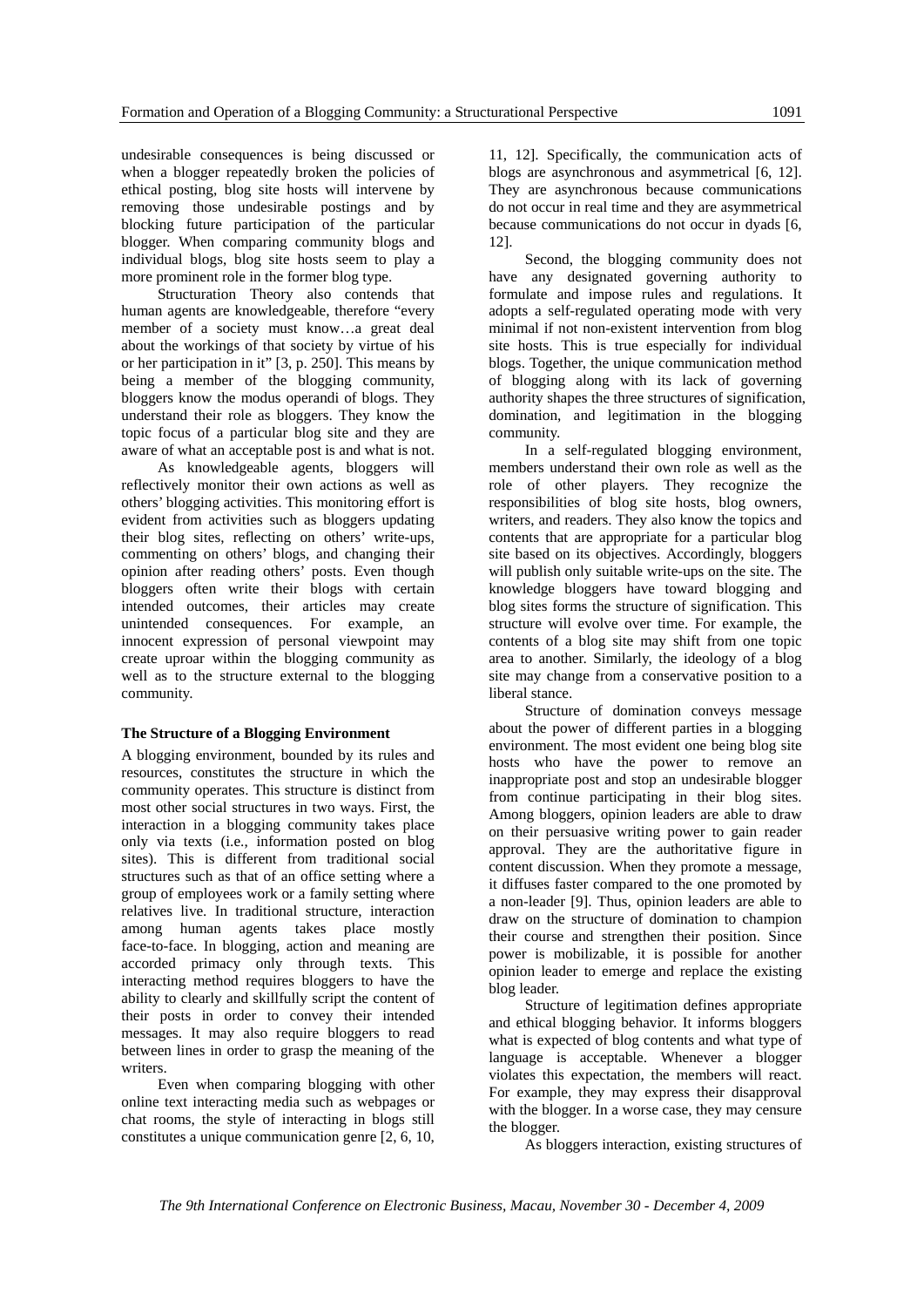undesirable consequences is being discussed or when a blogger repeatedly broken the policies of ethical posting, blog site hosts will intervene by removing those undesirable postings and by blocking future participation of the particular blogger. When comparing community blogs and individual blogs, blog site hosts seem to play a more prominent role in the former blog type.

Structuration Theory also contends that human agents are knowledgeable, therefore "every member of a society must know…a great deal about the workings of that society by virtue of his or her participation in it" [3, p. 250]. This means by being a member of the blogging community, bloggers know the modus operandi of blogs. They understand their role as bloggers. They know the topic focus of a particular blog site and they are aware of what an acceptable post is and what is not.

As knowledgeable agents, bloggers will reflectively monitor their own actions as well as others' blogging activities. This monitoring effort is evident from activities such as bloggers updating their blog sites, reflecting on others' write-ups, commenting on others' blogs, and changing their opinion after reading others' posts. Even though bloggers often write their blogs with certain intended outcomes, their articles may create unintended consequences. For example, an innocent expression of personal viewpoint may create uproar within the blogging community as well as to the structure external to the blogging community.

#### **The Structure of a Blogging Environment**

A blogging environment, bounded by its rules and resources, constitutes the structure in which the community operates. This structure is distinct from most other social structures in two ways. First, the interaction in a blogging community takes place only via texts (i.e., information posted on blog sites). This is different from traditional social structures such as that of an office setting where a group of employees work or a family setting where relatives live. In traditional structure, interaction among human agents takes place mostly face-to-face. In blogging, action and meaning are accorded primacy only through texts. This interacting method requires bloggers to have the ability to clearly and skillfully script the content of their posts in order to convey their intended messages. It may also require bloggers to read between lines in order to grasp the meaning of the writers.

Even when comparing blogging with other online text interacting media such as webpages or chat rooms, the style of interacting in blogs still constitutes a unique communication genre [2, 6, 10,

11, 12]. Specifically, the communication acts of blogs are asynchronous and asymmetrical [6, 12]. They are asynchronous because communications do not occur in real time and they are asymmetrical because communications do not occur in dyads [6, 12].

Second, the blogging community does not have any designated governing authority to formulate and impose rules and regulations. It adopts a self-regulated operating mode with very minimal if not non-existent intervention from blog site hosts. This is true especially for individual blogs. Together, the unique communication method of blogging along with its lack of governing authority shapes the three structures of signification, domination, and legitimation in the blogging community.

In a self-regulated blogging environment, members understand their own role as well as the role of other players. They recognize the responsibilities of blog site hosts, blog owners, writers, and readers. They also know the topics and contents that are appropriate for a particular blog site based on its objectives. Accordingly, bloggers will publish only suitable write-ups on the site. The knowledge bloggers have toward blogging and blog sites forms the structure of signification. This structure will evolve over time. For example, the contents of a blog site may shift from one topic area to another. Similarly, the ideology of a blog site may change from a conservative position to a liberal stance.

Structure of domination conveys message about the power of different parties in a blogging environment. The most evident one being blog site hosts who have the power to remove an inappropriate post and stop an undesirable blogger from continue participating in their blog sites. Among bloggers, opinion leaders are able to draw on their persuasive writing power to gain reader approval. They are the authoritative figure in content discussion. When they promote a message, it diffuses faster compared to the one promoted by a non-leader [9]. Thus, opinion leaders are able to draw on the structure of domination to champion their course and strengthen their position. Since power is mobilizable, it is possible for another opinion leader to emerge and replace the existing blog leader.

Structure of legitimation defines appropriate and ethical blogging behavior. It informs bloggers what is expected of blog contents and what type of language is acceptable. Whenever a blogger violates this expectation, the members will react. For example, they may express their disapproval with the blogger. In a worse case, they may censure the blogger.

As bloggers interaction, existing structures of